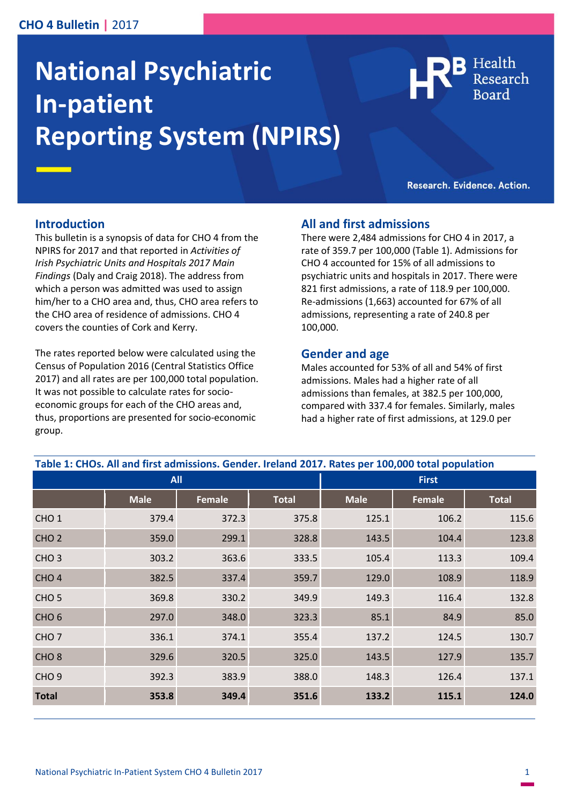## **CHO 4 Bulletin |** 2017

# **National Psychiatric In-patient Reporting System (NPIRS)**

Health

Research. Evidence. Action.

#### **Introduction**

This bulletin is a synopsis of data for CHO 4 from the NPIRS for 2017 and that reported in *Activities of Irish Psychiatric Units and Hospitals 2017 Main Findings* (Daly and Craig 2018). The address from which a person was admitted was used to assign him/her to a CHO area and, thus, CHO area refers to the CHO area of residence of admissions. CHO 4 covers the counties of Cork and Kerry.

The rates reported below were calculated using the Census of Population 2016 (Central Statistics Office 2017) and all rates are per 100,000 total population. It was not possible to calculate rates for socioeconomic groups for each of the CHO areas and, thus, proportions are presented for socio-economic group.

## **All and first admissions**

There were 2,484 admissions for CHO 4 in 2017, a rate of 359.7 per 100,000 (Table 1). Admissions for CHO 4 accounted for 15% of all admissions to psychiatric units and hospitals in 2017. There were 821 first admissions, a rate of 118.9 per 100,000. Re-admissions (1,663) accounted for 67% of all admissions, representing a rate of 240.8 per 100,000.

#### **Gender and age**

Males accounted for 53% of all and 54% of first admissions. Males had a higher rate of all admissions than females, at 382.5 per 100,000, compared with 337.4 for females. Similarly, males had a higher rate of first admissions, at 129.0 per

| <b>All</b>       |             |        |              | <b>First</b> |        |              |
|------------------|-------------|--------|--------------|--------------|--------|--------------|
|                  | <b>Male</b> | Female | <b>Total</b> | <b>Male</b>  | Female | <b>Total</b> |
| CHO <sub>1</sub> | 379.4       | 372.3  | 375.8        | 125.1        | 106.2  | 115.6        |
| CHO <sub>2</sub> | 359.0       | 299.1  | 328.8        | 143.5        | 104.4  | 123.8        |
| CHO <sub>3</sub> | 303.2       | 363.6  | 333.5        | 105.4        | 113.3  | 109.4        |
| CHO <sub>4</sub> | 382.5       | 337.4  | 359.7        | 129.0        | 108.9  | 118.9        |
| CHO <sub>5</sub> | 369.8       | 330.2  | 349.9        | 149.3        | 116.4  | 132.8        |
| CHO <sub>6</sub> | 297.0       | 348.0  | 323.3        | 85.1         | 84.9   | 85.0         |
| CHO <sub>7</sub> | 336.1       | 374.1  | 355.4        | 137.2        | 124.5  | 130.7        |
| CHO <sub>8</sub> | 329.6       | 320.5  | 325.0        | 143.5        | 127.9  | 135.7        |
| CHO <sub>9</sub> | 392.3       | 383.9  | 388.0        | 148.3        | 126.4  | 137.1        |
| <b>Total</b>     | 353.8       | 349.4  | 351.6        | 133.2        | 115.1  | 124.0        |

# **Table 1: CHOs. All and first admissions. Gender. Ireland 2017. Rates per 100,000 total population**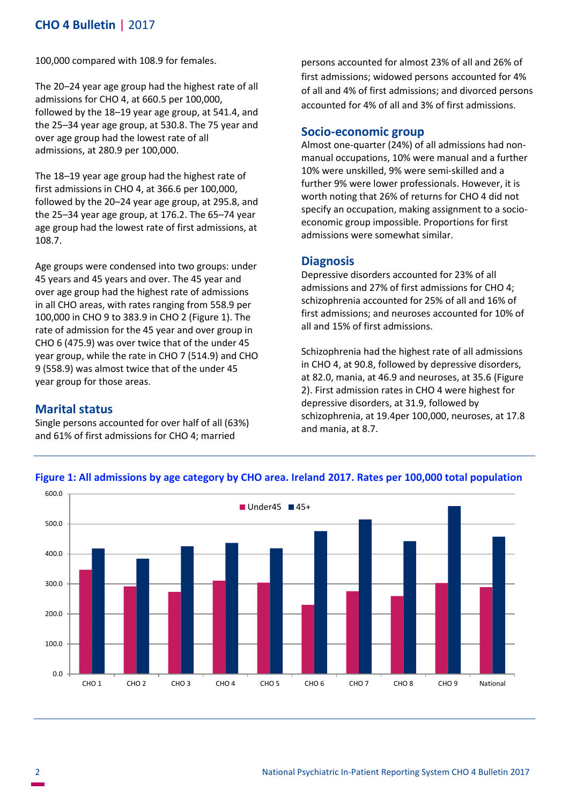# **CHO 4 Bulletin |** 2017

100,000 compared with 108.9 for females.

The 20–24 year age group had the highest rate of all admissions for CHO 4, at 660.5 per 100,000, followed by the 18–19 year age group, at 541.4, and the 25–34 year age group, at 530.8. The 75 year and over age group had the lowest rate of all admissions, at 280.9 per 100,000.

The 18–19 year age group had the highest rate of first admissions in CHO 4, at 366.6 per 100,000, followed by the 20–24 year age group, at 295.8, and the 25–34 year age group, at 176.2. The 65–74 year age group had the lowest rate of first admissions, at 108.7.

Age groups were condensed into two groups: under 45 years and 45 years and over. The 45 year and over age group had the highest rate of admissions in all CHO areas, with rates ranging from 558.9 per 100,000 in CHO 9 to 383.9 in CHO 2 (Figure 1). The rate of admission for the 45 year and over group in CHO 6 (475.9) was over twice that of the under 45 year group, while the rate in CHO 7 (514.9) and CHO 9 (558.9) was almost twice that of the under 45 year group for those areas.

## **Marital status**

Single persons accounted for over half of all (63%) and 61% of first admissions for CHO 4; married

persons accounted for almost 23% of all and 26% of first admissions; widowed persons accounted for 4% of all and 4% of first admissions; and divorced persons accounted for 4% of all and 3% of first admissions.

#### **Socio-economic group**

Almost one-quarter (24%) of all admissions had nonmanual occupations, 10% were manual and a further 10% were unskilled, 9% were semi-skilled and a further 9% were lower professionals. However, it is worth noting that 26% of returns for CHO 4 did not specify an occupation, making assignment to a socioeconomic group impossible. Proportions for first admissions were somewhat similar.

#### **Diagnosis**

Depressive disorders accounted for 23% of all admissions and 27% of first admissions for CHO 4; schizophrenia accounted for 25% of all and 16% of first admissions; and neuroses accounted for 10% of all and 15% of first admissions.

Schizophrenia had the highest rate of all admissions in CHO 4, at 90.8, followed by depressive disorders, at 82.0, mania, at 46.9 and neuroses, at 35.6 (Figure 2). First admission rates in CHO 4 were highest for depressive disorders, at 31.9, followed by schizophrenia, at 19.4per 100,000, neuroses, at 17.8 and mania, at 8.7.



**Figure 1: All admissions by age category by CHO area. Ireland 2017. Rates per 100,000 total population**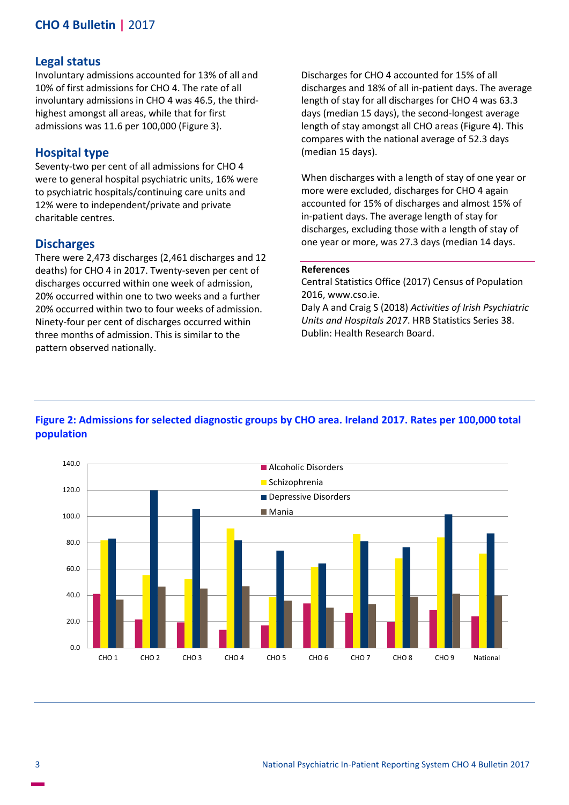# **CHO 4 Bulletin |** 2017

#### **Legal status**

Involuntary admissions accounted for 13% of all and 10% of first admissions for CHO 4. The rate of all involuntary admissions in CHO 4 was 46.5, the thirdhighest amongst all areas, while that for first admissions was 11.6 per 100,000 (Figure 3).

## **Hospital type**

Seventy-two per cent of all admissions for CHO 4 were to general hospital psychiatric units, 16% were to psychiatric hospitals/continuing care units and 12% were to independent/private and private charitable centres.

#### **Discharges**

There were 2,473 discharges (2,461 discharges and 12 deaths) for CHO 4 in 2017. Twenty-seven per cent of discharges occurred within one week of admission, 20% occurred within one to two weeks and a further 20% occurred within two to four weeks of admission. Ninety-four per cent of discharges occurred within three months of admission. This is similar to the pattern observed nationally.

Discharges for CHO 4 accounted for 15% of all discharges and 18% of all in-patient days. The average length of stay for all discharges for CHO 4 was 63.3 days (median 15 days), the second-longest average length of stay amongst all CHO areas (Figure 4). This compares with the national average of 52.3 days (median 15 days).

When discharges with a length of stay of one year or more were excluded, discharges for CHO 4 again accounted for 15% of discharges and almost 15% of in-patient days. The average length of stay for discharges, excluding those with a length of stay of one year or more, was 27.3 days (median 14 days.

#### **References**

Central Statistics Office (2017) Census of Population 2016, www.cso.ie.

Daly A and Craig S (2018) *Activities of Irish Psychiatric Units and Hospitals 2017*. HRB Statistics Series 38. Dublin: Health Research Board.

# **Figure 2: Admissions for selected diagnostic groups by CHO area. Ireland 2017. Rates per 100,000 total population**